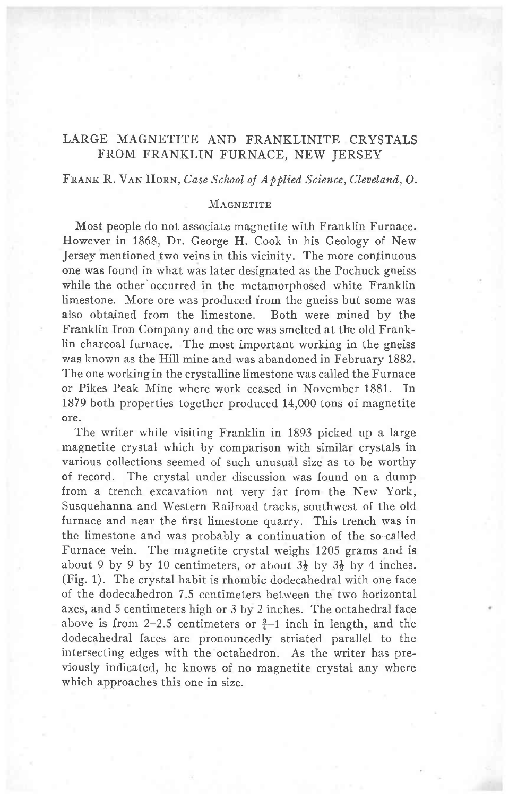# LARGE MAGNETITE AND FRANKLINITE CRYSTALS FROM FRANKLIN FURNACE, NEW JERSEY

### FRANK R. VAN HORN, Case School of Applied Science, Cleveland, O.

### MAGNETITE

Most people do not associate magnetite with Franklin Furnace. However in 1868, Dr. George H. Cook in his Geology of New Jersey mentioned two veins in this vicinity. The more continuous one was found in what was later designated as the Pochuck gneiss while the other occurred in the metamorphosed white Franklin limestone. More ore was produced from the gneiss but some was also obtained from the limestone. Both were mined by the Franklin Iron Company and the ore was smelted at the old Frank-Iin charcoal furnace. The most important working in the gneiss was known as the Hill mine and was abandoned in February 1882. The one working in the crystalline limestone was called the Furnace or Pikes Peak Mine where work ceased in November 1881. In 1879 both properties together produced 14,000 tons of magnetite ore.

The writer while visiting Franklin in 1893 picked up a large magnetite crystal which by comparison with similar crystals in various collections seemed of such unusual size as to be worthy of record. The crystal under discussion was found on a dump from a trench excavation not very far from the New York, Susquehanna and Western Railroad tracks, southwest of the old furnace and near the first limestone quarry. This trench was in the limestone and was probably a continuation of the so-called Furnace vein. The magnetite crystal weighs 1205 grams and is about 9 by 9 by 10 centimeters, or about  $3\frac{1}{2}$  by  $3\frac{1}{2}$  by 4 inches. (Fig. 1). The crystal habit is rhombic dodecahedral with one face of the dodecahedron 7.5 centimeters between the two horizontal axes, and 5 centimeters high or 3 by 2 inches. The octahedral face above is from 2-2.5 centimeters or  $\frac{3}{4}$ -1 inch in length, and the dodecahedral faces are pronouncedly striated parallel to the intersecting edges with the octahedron. As the writer has previously indicated, he knows of no magnetite crystal any where which approaches this one in size.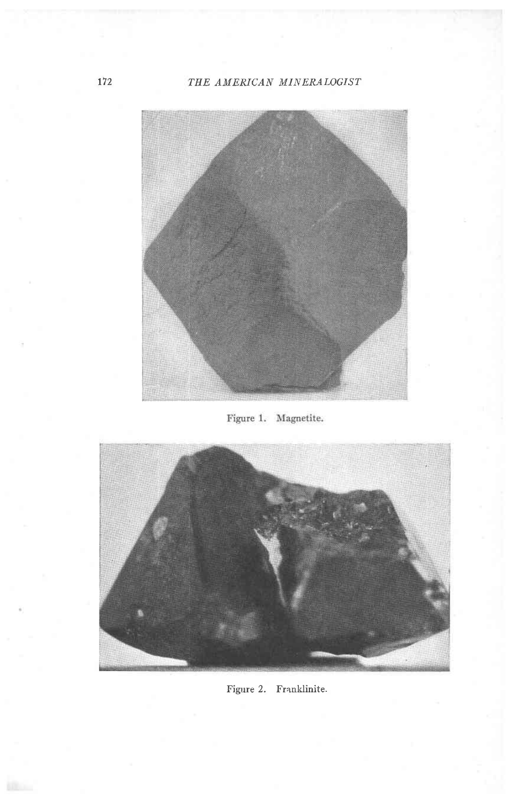# THE AMERICAN MINERALOGIST



Figure 1. Magnetite.



Figure 2. Franklinite.

172